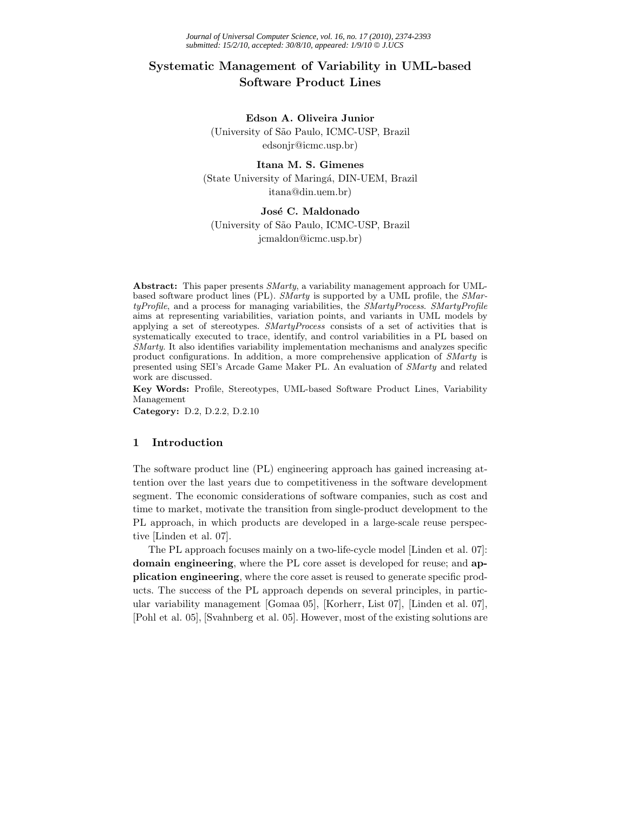# **Systematic Management of Variability in UML-based Software Product Lines**

#### **Edson A. Oliveira Junior**

(University of S˜ao Paulo, ICMC-USP, Brazil edsonjr@icmc.usp.br)

## **Itana M. S. Gimenes** (State University of Maringá, DIN-UEM, Brazil) itana@din.uem.br)

### José C. Maldonado

(University of S˜ao Paulo, ICMC-USP, Brazil jcmaldon@icmc.usp.br)

**Abstract:** This paper presents *SMarty*, a variability management approach for UMLbased software product lines (PL). *SMarty* is supported by a UML profile, the *SMartyProfile*, and a process for managing variabilities, the *SMartyProcess*. *SMartyProfile* aims at representing variabilities, variation points, and variants in UML models by applying a set of stereotypes. *SMartyProcess* consists of a set of activities that is systematically executed to trace, identify, and control variabilities in a PL based on *SMarty*. It also identifies variability implementation mechanisms and analyzes specific product configurations. In addition, a more comprehensive application of *SMarty* is presented using SEI's Arcade Game Maker PL. An evaluation of *SMarty* and related work are discussed.

**Key Words:** Profile, Stereotypes, UML-based Software Product Lines, Variability Management

**Category:** D.2, D.2.2, D.2.10

#### **1 Introduction**

The software product line (PL) engineering approach has gained increasing attention over the last years due to competitiveness in the software development segment. The economic considerations of software companies, such as cost and time to market, motivate the transition from single-product development to the PL approach, in which products are developed in a large-scale reuse perspective [Linden et al. 07].

The PL approach focuses mainly on a two-life-cycle model [Linden et al. 07]: **domain engineering**, where the PL core asset is developed for reuse; and **application engineering**, where the core asset is reused to generate specific products. The success of the PL approach depends on several principles, in particular variability management [Gomaa 05], [Korherr, List 07], [Linden et al. 07], [Pohl et al. 05], [Svahnberg et al. 05]. However, most of the existing solutions are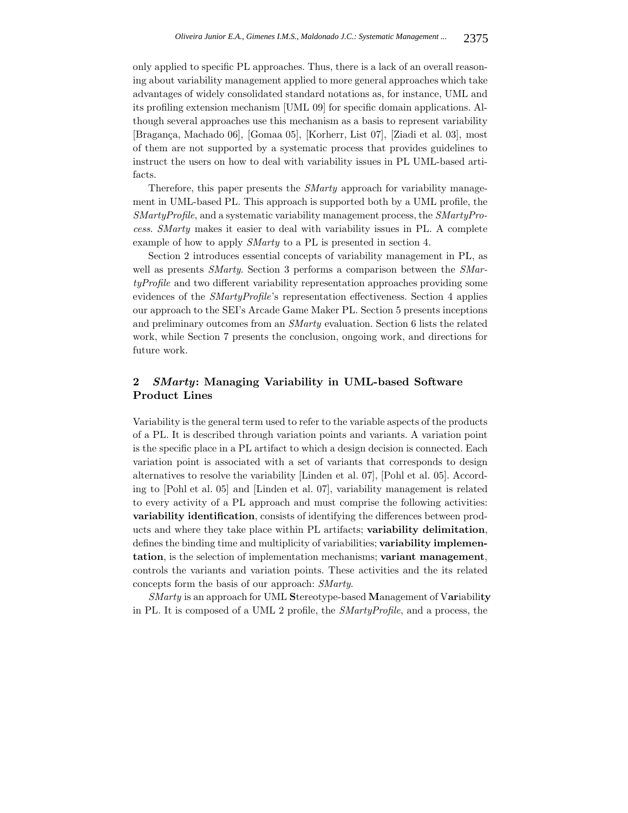only applied to specific PL approaches. Thus, there is a lack of an overall reasoning about variability management applied to more general approaches which take advantages of widely consolidated standard notations as, for instance, UML and its profiling extension mechanism [UML 09] for specific domain applications. Although several approaches use this mechanism as a basis to represent variability [Bragança, Machado 06], [Gomaa 05], [Korherr, List 07], [Ziadi et al. 03], most of them are not supported by a systematic process that provides guidelines to instruct the users on how to deal with variability issues in PL UML-based artifacts.

Therefore, this paper presents the *SMarty* approach for variability management in UML-based PL. This approach is supported both by a UML profile, the *SMartyProfile*, and a systematic variability management process, the *SMartyProcess*. *SMarty* makes it easier to deal with variability issues in PL. A complete example of how to apply *SMarty* to a PL is presented in section 4.

Section 2 introduces essential concepts of variability management in PL, as well as presents *SMarty*. Section 3 performs a comparison between the *SMartyProfile* and two different variability representation approaches providing some evidences of the *SMartyProfile*'s representation effectiveness. Section 4 applies our approach to the SEI's Arcade Game Maker PL. Section 5 presents inceptions and preliminary outcomes from an *SMarty* evaluation. Section 6 lists the related work, while Section 7 presents the conclusion, ongoing work, and directions for future work.

### **2** *SMarty***: Managing Variability in UML-based Software Product Lines**

Variability is the general term used to refer to the variable aspects of the products of a PL. It is described through variation points and variants. A variation point is the specific place in a PL artifact to which a design decision is connected. Each variation point is associated with a set of variants that corresponds to design alternatives to resolve the variability [Linden et al. 07], [Pohl et al. 05]. According to [Pohl et al. 05] and [Linden et al. 07], variability management is related to every activity of a PL approach and must comprise the following activities: **variability identification**, consists of identifying the differences between products and where they take place within PL artifacts; **variability delimitation**, defines the binding time and multiplicity of variabilities; **variability implementation**, is the selection of implementation mechanisms; **variant management**, controls the variants and variation points. These activities and the its related concepts form the basis of our approach: *SMarty*.

*SMarty* is an approach for UML **S**tereotype-based **M**anagement of V**ar**iabili**ty** in PL. It is composed of a UML 2 profile, the *SMartyProfile*, and a process, the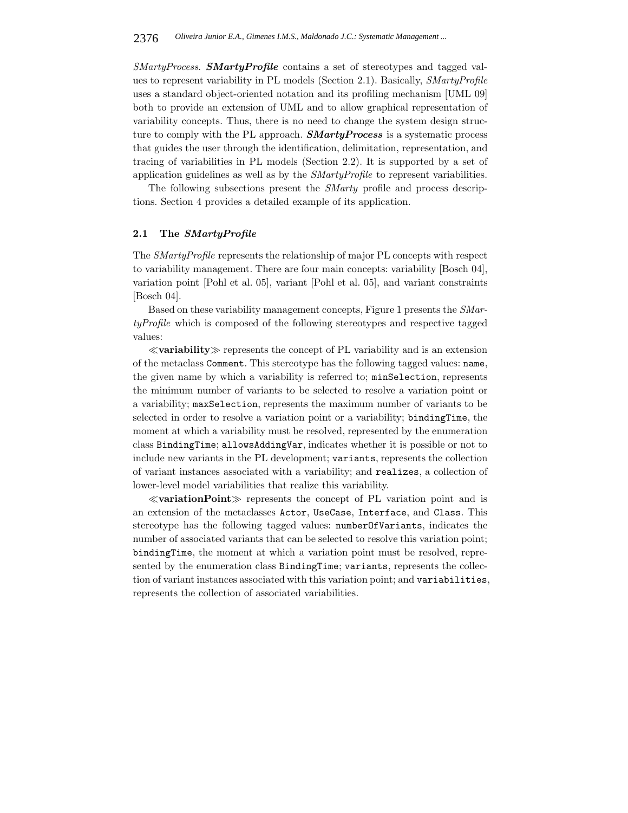*SMartyProcess*. *SMartyProfile* contains a set of stereotypes and tagged values to represent variability in PL models (Section 2.1). Basically, *SMartyProfile* uses a standard object-oriented notation and its profiling mechanism [UML 09] both to provide an extension of UML and to allow graphical representation of variability concepts. Thus, there is no need to change the system design structure to comply with the PL approach. *SMartyProcess* is a systematic process that guides the user through the identification, delimitation, representation, and tracing of variabilities in PL models (Section 2.2). It is supported by a set of application guidelines as well as by the *SMartyProfile* to represent variabilities.

The following subsections present the *SMarty* profile and process descriptions. Section 4 provides a detailed example of its application.

#### **2.1 The** *SMartyProfile*

The *SMartyProfile* represents the relationship of major PL concepts with respect to variability management. There are four main concepts: variability [Bosch 04], variation point [Pohl et al. 05], variant [Pohl et al. 05], and variant constraints [Bosch 04].

Based on these variability management concepts, Figure 1 presents the *SMartyProfile* which is composed of the following stereotypes and respective tagged values:

 $\ll$ **variability** $\gg$  represents the concept of PL variability and is an extension of the metaclass Comment. This stereotype has the following tagged values: name, the given name by which a variability is referred to; minSelection, represents the minimum number of variants to be selected to resolve a variation point or a variability; maxSelection, represents the maximum number of variants to be selected in order to resolve a variation point or a variability; bindingTime, the moment at which a variability must be resolved, represented by the enumeration class BindingTime; allowsAddingVar, indicates whether it is possible or not to include new variants in the PL development; variants, represents the collection of variant instances associated with a variability; and realizes, a collection of lower-level model variabilities that realize this variability.

 $\ll$ **variationPoint** $\gg$  represents the concept of PL variation point and is an extension of the metaclasses Actor, UseCase, Interface, and Class. This stereotype has the following tagged values: numberOfVariants, indicates the number of associated variants that can be selected to resolve this variation point; bindingTime, the moment at which a variation point must be resolved, represented by the enumeration class BindingTime; variants, represents the collection of variant instances associated with this variation point; and variabilities, represents the collection of associated variabilities.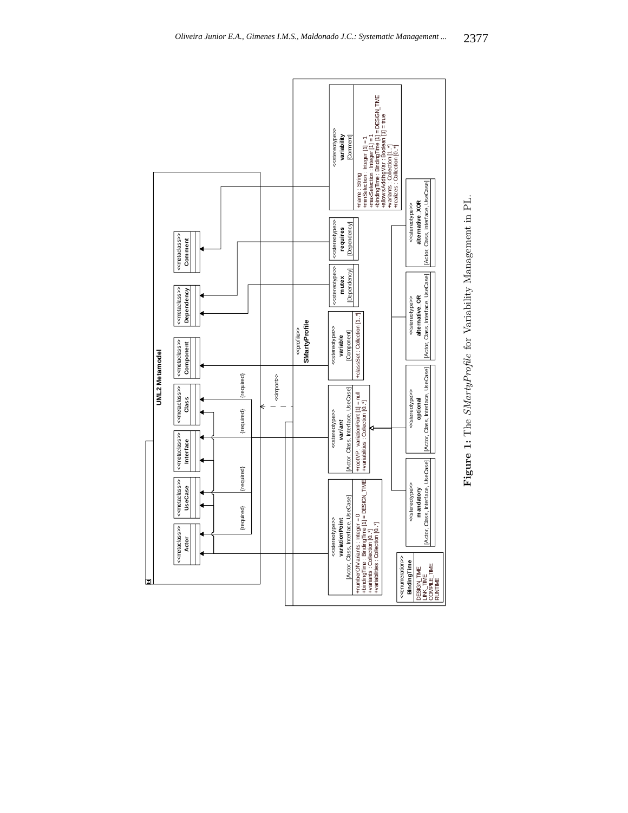

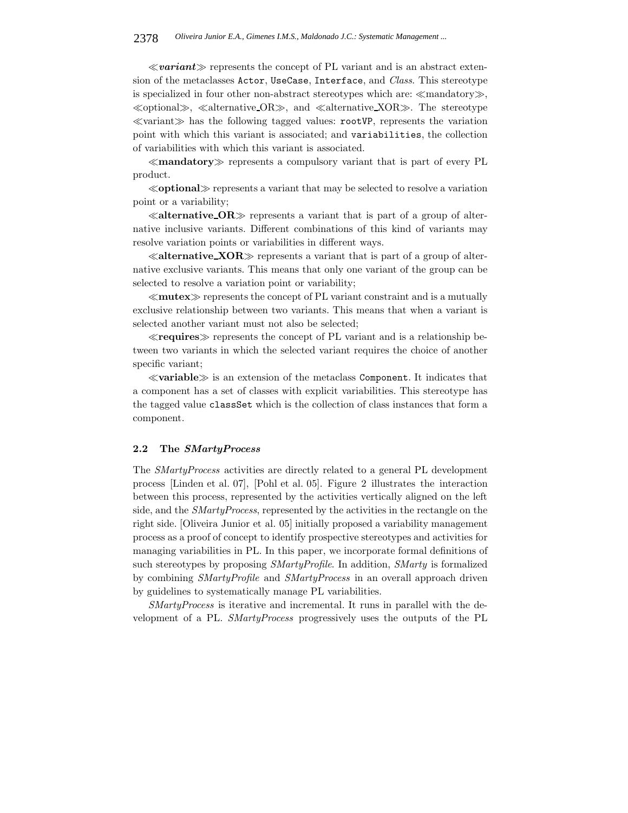$\ll$ **variant** $\gg$  represents the concept of PL variant and is an abstract extension of the metaclasses Actor, UseCase, Interface, and *Class*. This stereotype is specialized in four other non-abstract stereotypes which are:  $\ll$ mandatory $\gg$ ,  $\ll$ optional $\gg$ ,  $\ll$ alternative OR $\gg$ , and  $\ll$ alternative XOR $\gg$ . The stereotype  $\ll$ variant $\gg$  has the following tagged values: rootVP, represents the variation point with which this variant is associated; and variabilities, the collection of variabilities with which this variant is associated.

-**mandatory** represents a compulsory variant that is part of every PL product.

-**optional** represents a variant that may be selected to resolve a variation point or a variability;

 $\ll$  alternative  $\text{OR} \gg$  represents a variant that is part of a group of alternative inclusive variants. Different combinations of this kind of variants may resolve variation points or variabilities in different ways.

 $\ll$  alternative  $XOR \gg$  represents a variant that is part of a group of alternative exclusive variants. This means that only one variant of the group can be selected to resolve a variation point or variability;

 $\ll$ **mutex** $\gg$  represents the concept of PL variant constraint and is a mutually exclusive relationship between two variants. This means that when a variant is selected another variant must not also be selected;

 $\ll$ **requires** represents the concept of PL variant and is a relationship between two variants in which the selected variant requires the choice of another specific variant;

 $\ll$ **variable** $\gg$  is an extension of the metaclass Component. It indicates that a component has a set of classes with explicit variabilities. This stereotype has the tagged value classSet which is the collection of class instances that form a component.

#### **2.2 The** *SMartyProcess*

The *SMartyProcess* activities are directly related to a general PL development process [Linden et al. 07], [Pohl et al. 05]. Figure 2 illustrates the interaction between this process, represented by the activities vertically aligned on the left side, and the *SMartyProcess*, represented by the activities in the rectangle on the right side. [Oliveira Junior et al. 05] initially proposed a variability management process as a proof of concept to identify prospective stereotypes and activities for managing variabilities in PL. In this paper, we incorporate formal definitions of such stereotypes by proposing *SMartyProfile*. In addition, *SMarty* is formalized by combining *SMartyProfile* and *SMartyProcess* in an overall approach driven by guidelines to systematically manage PL variabilities.

*SMartyProcess* is iterative and incremental. It runs in parallel with the development of a PL. *SMartyProcess* progressively uses the outputs of the PL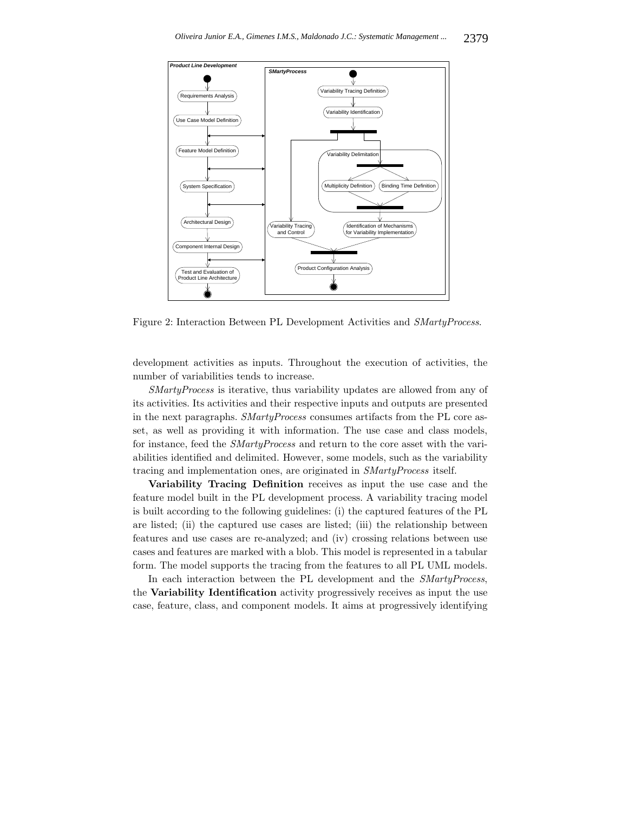

Figure 2: Interaction Between PL Development Activities and *SMartyProcess*.

development activities as inputs. Throughout the execution of activities, the number of variabilities tends to increase.

*SMartyProcess* is iterative, thus variability updates are allowed from any of its activities. Its activities and their respective inputs and outputs are presented in the next paragraphs. *SMartyProcess* consumes artifacts from the PL core asset, as well as providing it with information. The use case and class models, for instance, feed the *SMartyProcess* and return to the core asset with the variabilities identified and delimited. However, some models, such as the variability tracing and implementation ones, are originated in *SMartyProcess* itself.

**Variability Tracing Definition** receives as input the use case and the feature model built in the PL development process. A variability tracing model is built according to the following guidelines: (i) the captured features of the PL are listed; (ii) the captured use cases are listed; (iii) the relationship between features and use cases are re-analyzed; and (iv) crossing relations between use cases and features are marked with a blob. This model is represented in a tabular form. The model supports the tracing from the features to all PL UML models.

In each interaction between the PL development and the *SMartyProcess*, the **Variability Identification** activity progressively receives as input the use case, feature, class, and component models. It aims at progressively identifying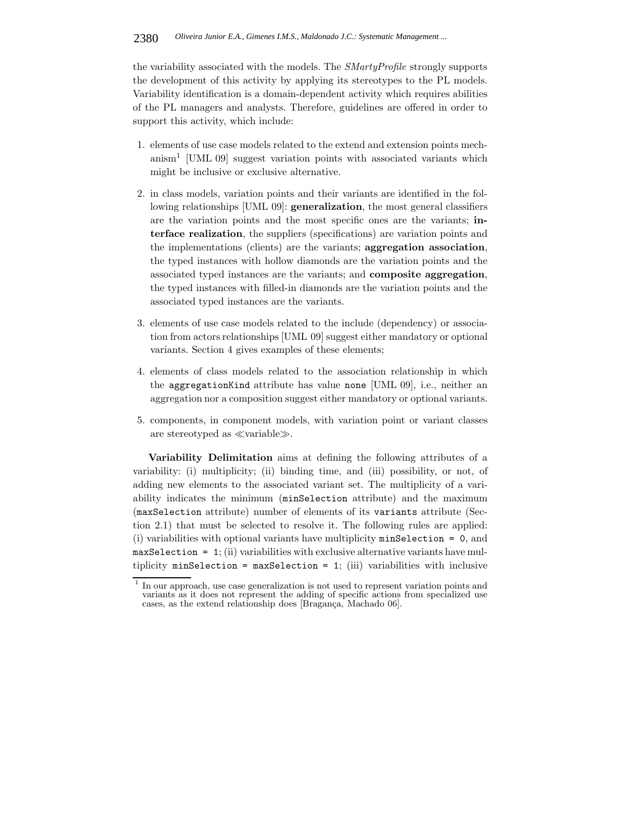the variability associated with the models. The *SMartyProfile* strongly supports the development of this activity by applying its stereotypes to the PL models. Variability identification is a domain-dependent activity which requires abilities of the PL managers and analysts. Therefore, guidelines are offered in order to support this activity, which include:

- 1. elements of use case models related to the extend and extension points mechanism<sup>1</sup> [UML 09] suggest variation points with associated variants which might be inclusive or exclusive alternative.
- 2. in class models, variation points and their variants are identified in the following relationships [UML 09]: **generalization**, the most general classifiers are the variation points and the most specific ones are the variants; **interface realization**, the suppliers (specifications) are variation points and the implementations (clients) are the variants; **aggregation association**, the typed instances with hollow diamonds are the variation points and the associated typed instances are the variants; and **composite aggregation**, the typed instances with filled-in diamonds are the variation points and the associated typed instances are the variants.
- 3. elements of use case models related to the include (dependency) or association from actors relationships [UML 09] suggest either mandatory or optional variants. Section 4 gives examples of these elements;
- 4. elements of class models related to the association relationship in which the aggregationKind attribute has value none [UML 09], i.e., neither an aggregation nor a composition suggest either mandatory or optional variants.
- 5. components, in component models, with variation point or variant classes are stereotyped as  $\ll$ variable $\gg$ .

**Variability Delimitation** aims at defining the following attributes of a variability: (i) multiplicity; (ii) binding time, and (iii) possibility, or not, of adding new elements to the associated variant set. The multiplicity of a variability indicates the minimum (minSelection attribute) and the maximum (maxSelection attribute) number of elements of its variants attribute (Section 2.1) that must be selected to resolve it. The following rules are applied: (i) variabilities with optional variants have multiplicity minSelection = 0, and maxSelection = 1; (ii) variabilities with exclusive alternative variants have multiplicity  $minSetection = maxSetection = 1$ ; (iii) variabilities with inclusive

<sup>1</sup> In our approach, use case generalization is not used to represent variation points and variants as it does not represent the adding of specific actions from specialized use cases, as the extend relationship does [Bragança, Machado 06].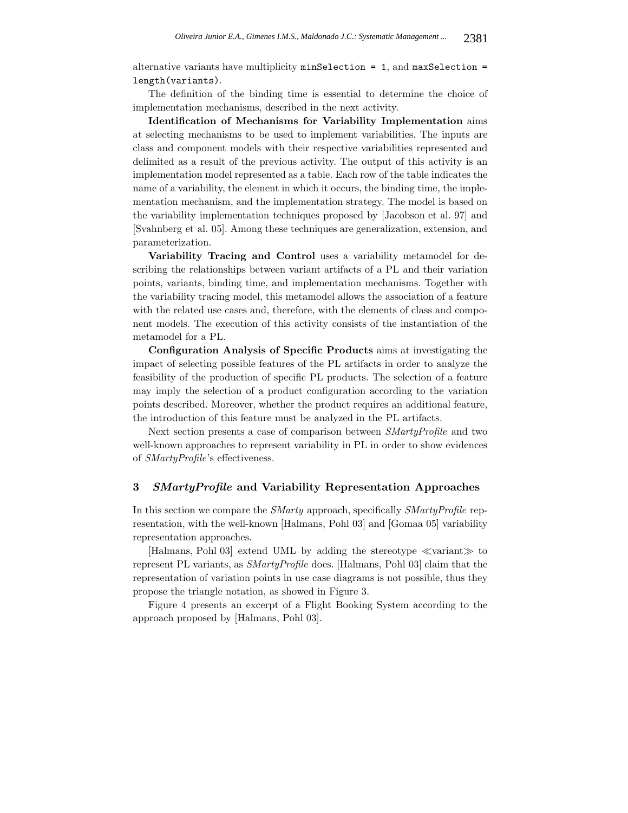alternative variants have multiplicity  $minSelection = 1$ , and  $maxSelection =$ length(variants).

The definition of the binding time is essential to determine the choice of implementation mechanisms, described in the next activity.

**Identification of Mechanisms for Variability Implementation** aims at selecting mechanisms to be used to implement variabilities. The inputs are class and component models with their respective variabilities represented and delimited as a result of the previous activity. The output of this activity is an implementation model represented as a table. Each row of the table indicates the name of a variability, the element in which it occurs, the binding time, the implementation mechanism, and the implementation strategy. The model is based on the variability implementation techniques proposed by [Jacobson et al. 97] and [Svahnberg et al. 05]. Among these techniques are generalization, extension, and parameterization.

**Variability Tracing and Control** uses a variability metamodel for describing the relationships between variant artifacts of a PL and their variation points, variants, binding time, and implementation mechanisms. Together with the variability tracing model, this metamodel allows the association of a feature with the related use cases and, therefore, with the elements of class and component models. The execution of this activity consists of the instantiation of the metamodel for a PL.

**Configuration Analysis of Specific Products** aims at investigating the impact of selecting possible features of the PL artifacts in order to analyze the feasibility of the production of specific PL products. The selection of a feature may imply the selection of a product configuration according to the variation points described. Moreover, whether the product requires an additional feature, the introduction of this feature must be analyzed in the PL artifacts.

Next section presents a case of comparison between *SMartyProfile* and two well-known approaches to represent variability in PL in order to show evidences of *SMartyProfile*'s effectiveness.

#### **3** *SMartyProfile* **and Variability Representation Approaches**

In this section we compare the *SMarty* approach, specifically *SMartyProfile* representation, with the well-known [Halmans, Pohl 03] and [Gomaa 05] variability representation approaches.

[Halmans, Pohl 03] extend UML by adding the stereotype  $\ll$ variant $\gg$  to represent PL variants, as *SMartyProfile* does. [Halmans, Pohl 03] claim that the representation of variation points in use case diagrams is not possible, thus they propose the triangle notation, as showed in Figure 3.

Figure 4 presents an excerpt of a Flight Booking System according to the approach proposed by [Halmans, Pohl 03].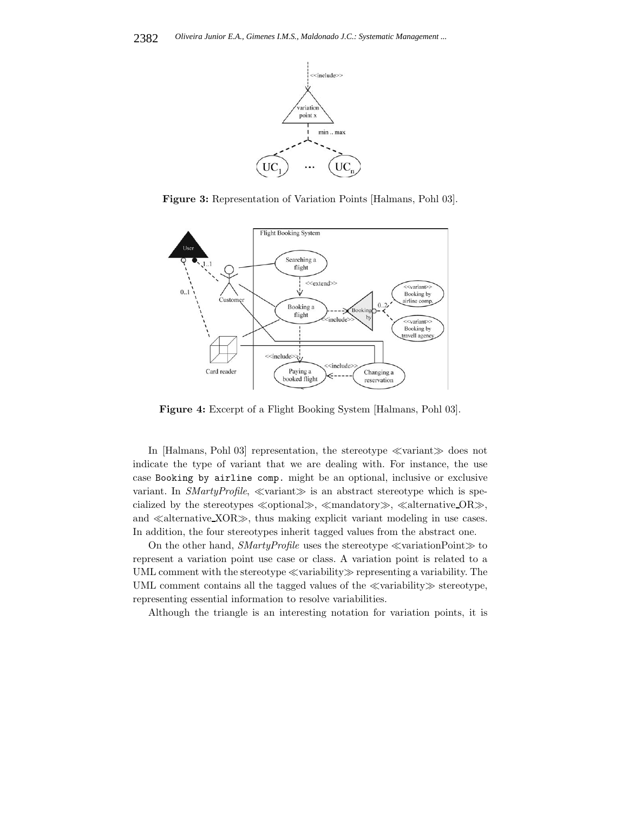

**Figure 3:** Representation of Variation Points [Halmans, Pohl 03].



**Figure 4:** Excerpt of a Flight Booking System [Halmans, Pohl 03].

In [Halmans, Pohl 03] representation, the stereotype  $\ll$ variant $\gg$  does not indicate the type of variant that we are dealing with. For instance, the use case Booking by airline comp. might be an optional, inclusive or exclusive variant. In *SMartyProfile*,  $\ll$ variant $\gg$  is an abstract stereotype which is specialized by the stereotypes  $\ll$ optional $\gg$ ,  $\ll$ mandatory $\gg$ ,  $\ll$ alternative OR $\gg$ , and  $\ll$  alternative XOR $\gg$ , thus making explicit variant modeling in use cases. In addition, the four stereotypes inherit tagged values from the abstract one.

On the other hand,  $SMartyProfile$  uses the stereotype  $\ll$  variationPoint  $\gg$  to represent a variation point use case or class. A variation point is related to a UML comment with the stereotype  $\ll$ variability $\gg$  representing a variability. The UML comment contains all the tagged values of the  $\ll$ variability $\gg$  stereotype, representing essential information to resolve variabilities.

Although the triangle is an interesting notation for variation points, it is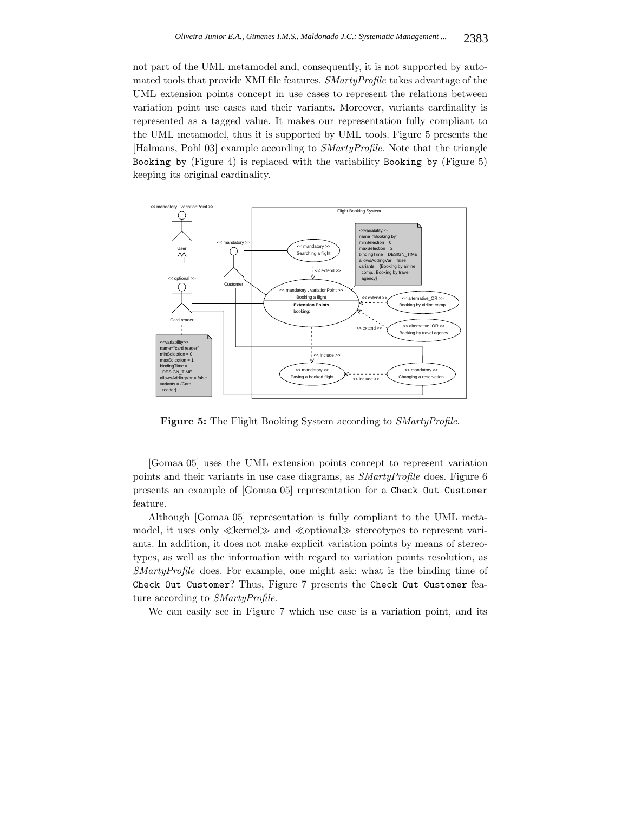not part of the UML metamodel and, consequently, it is not supported by automated tools that provide XMI file features. *SMartyProfile* takes advantage of the UML extension points concept in use cases to represent the relations between variation point use cases and their variants. Moreover, variants cardinality is represented as a tagged value. It makes our representation fully compliant to the UML metamodel, thus it is supported by UML tools. Figure 5 presents the [Halmans, Pohl 03] example according to *SMartyProfile*. Note that the triangle Booking by (Figure 4) is replaced with the variability Booking by (Figure 5) keeping its original cardinality.



**Figure 5:** The Flight Booking System according to *SMartyProfile*.

[Gomaa 05] uses the UML extension points concept to represent variation points and their variants in use case diagrams, as *SMartyProfile* does. Figure 6 presents an example of [Gomaa 05] representation for a Check Out Customer feature.

Although [Gomaa 05] representation is fully compliant to the UML metamodel, it uses only  $\ll$ kernel $\gg$  and  $\ll$ optional $\gg$  stereotypes to represent variants. In addition, it does not make explicit variation points by means of stereotypes, as well as the information with regard to variation points resolution, as *SMartyProfile* does. For example, one might ask: what is the binding time of Check Out Customer? Thus, Figure 7 presents the Check Out Customer feature according to *SMartyProfile*.

We can easily see in Figure 7 which use case is a variation point, and its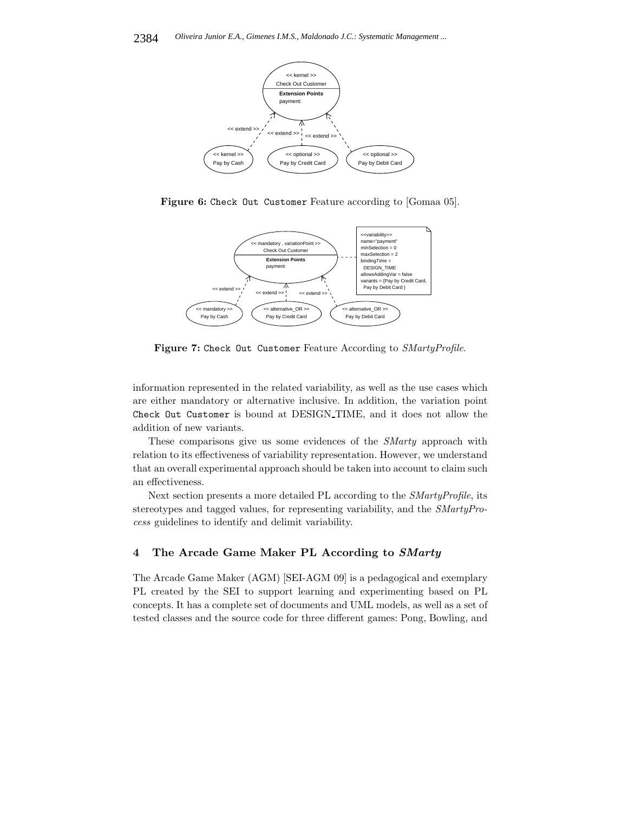

**Figure 6:** Check Out Customer Feature according to [Gomaa 05].



**Figure 7:** Check Out Customer Feature According to *SMartyProfile*.

information represented in the related variability, as well as the use cases which are either mandatory or alternative inclusive. In addition, the variation point Check Out Customer is bound at DESIGN TIME, and it does not allow the addition of new variants.

These comparisons give us some evidences of the *SMarty* approach with relation to its effectiveness of variability representation. However, we understand that an overall experimental approach should be taken into account to claim such an effectiveness.

Next section presents a more detailed PL according to the *SMartyProfile*, its stereotypes and tagged values, for representing variability, and the *SMartyProcess* guidelines to identify and delimit variability.

### **4 The Arcade Game Maker PL According to** *SMarty*

The Arcade Game Maker (AGM) [SEI-AGM 09] is a pedagogical and exemplary PL created by the SEI to support learning and experimenting based on PL concepts. It has a complete set of documents and UML models, as well as a set of tested classes and the source code for three different games: Pong, Bowling, and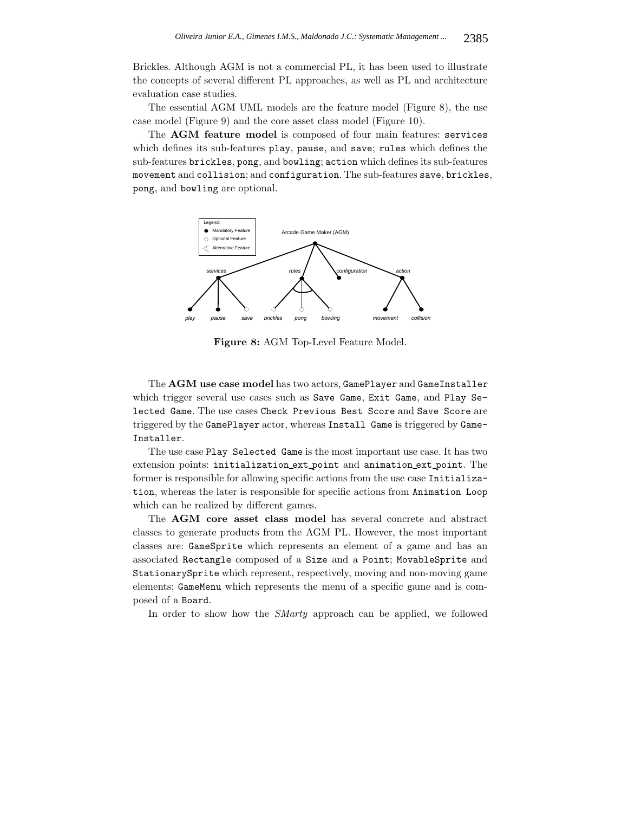Brickles. Although AGM is not a commercial PL, it has been used to illustrate the concepts of several different PL approaches, as well as PL and architecture evaluation case studies.

The essential AGM UML models are the feature model (Figure 8), the use case model (Figure 9) and the core asset class model (Figure 10).

The **AGM feature model** is composed of four main features: services which defines its sub-features play, pause, and save; rules which defines the sub-features brickles, pong, and bowling; action which defines its sub-features movement and collision; and configuration. The sub-features save, brickles, pong, and bowling are optional.



**Figure 8:** AGM Top-Level Feature Model.

The **AGM use case model** has two actors, GamePlayer and GameInstaller which trigger several use cases such as Save Game, Exit Game, and Play Selected Game. The use cases Check Previous Best Score and Save Score are triggered by the GamePlayer actor, whereas Install Game is triggered by Game-Installer.

The use case Play Selected Game is the most important use case. It has two extension points: initialization ext point and animation ext point. The former is responsible for allowing specific actions from the use case Initialization, whereas the later is responsible for specific actions from Animation Loop which can be realized by different games.

The **AGM core asset class model** has several concrete and abstract classes to generate products from the AGM PL. However, the most important classes are: GameSprite which represents an element of a game and has an associated Rectangle composed of a Size and a Point; MovableSprite and StationarySprite which represent, respectively, moving and non-moving game elements; GameMenu which represents the menu of a specific game and is composed of a Board.

In order to show how the *SMarty* approach can be applied, we followed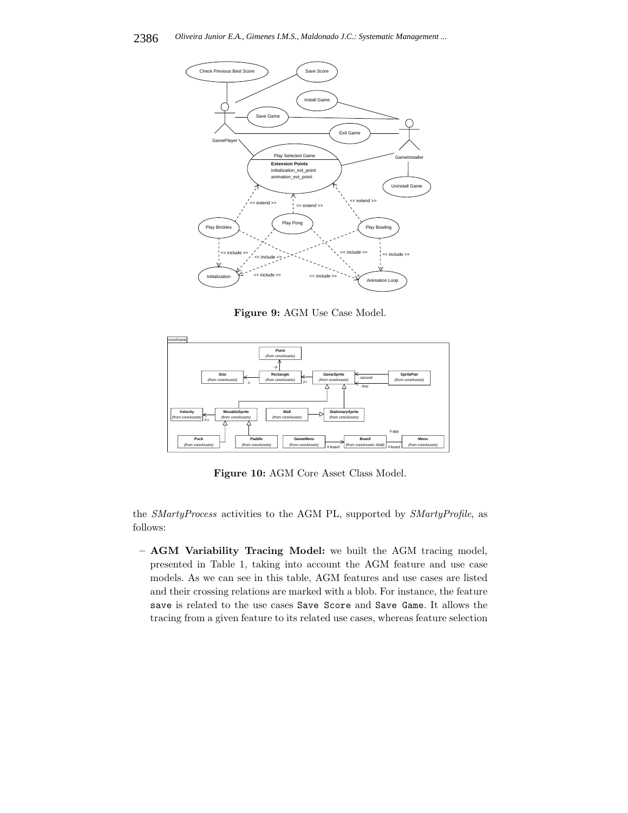

**Figure 9:** AGM Use Case Model.



**Figure 10:** AGM Core Asset Class Model.

the *SMartyProcess* activities to the AGM PL, supported by *SMartyProfile*, as follows:

**– AGM Variability Tracing Model:** we built the AGM tracing model, presented in Table 1, taking into account the AGM feature and use case models. As we can see in this table, AGM features and use cases are listed and their crossing relations are marked with a blob. For instance, the feature save is related to the use cases Save Score and Save Game. It allows the tracing from a given feature to its related use cases, whereas feature selection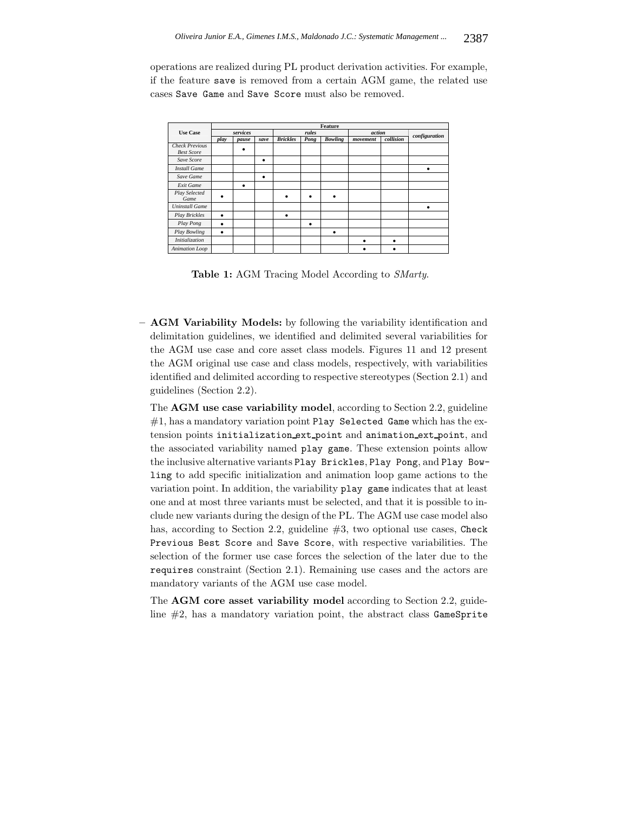operations are realized during PL product derivation activities. For example, if the feature save is removed from a certain AGM game, the related use cases Save Game and Save Score must also be removed.

|                       | <b>Feature</b> |       |      |                 |      |                |          |           |               |
|-----------------------|----------------|-------|------|-----------------|------|----------------|----------|-----------|---------------|
| <b>Use Case</b>       | services       |       |      | rules           |      |                | action   |           | configuration |
|                       | play           | pause | save | <b>Brickles</b> | Pong | <b>Bowling</b> | movement | collision |               |
| <b>Check Previous</b> |                | ٠     |      |                 |      |                |          |           |               |
| <b>Best Score</b>     |                |       |      |                 |      |                |          |           |               |
| Save Score            |                |       | ٠    |                 |      |                |          |           |               |
| <b>Install Game</b>   |                |       |      |                 |      |                |          |           | ٠             |
| Save Game             |                |       | ٠    |                 |      |                |          |           |               |
| Exit Game             |                | ٠     |      |                 |      |                |          |           |               |
| Play Selected<br>Game |                |       |      |                 |      |                |          |           |               |
| <b>Uninstall Game</b> |                |       |      |                 |      |                |          |           | ٠             |
| <b>Play Brickles</b>  | ٠              |       |      |                 |      |                |          |           |               |
| Play Pong             | ٠              |       |      |                 | ٠    |                |          |           |               |
| Play Bowling          | ٠              |       |      |                 |      | ٠              |          |           |               |
| Initialization        |                |       |      |                 |      |                |          |           |               |
| Animation Loop        |                |       |      |                 |      |                |          |           |               |

**Table 1:** AGM Tracing Model According to *SMarty*.

**– AGM Variability Models:** by following the variability identification and delimitation guidelines, we identified and delimited several variabilities for the AGM use case and core asset class models. Figures 11 and 12 present the AGM original use case and class models, respectively, with variabilities identified and delimited according to respective stereotypes (Section 2.1) and guidelines (Section 2.2).

The **AGM use case variability model**, according to Section 2.2, guideline  $#1$ , has a mandatory variation point Play Selected Game which has the extension points initialization ext point and animation ext point, and the associated variability named play game. These extension points allow the inclusive alternative variants Play Brickles, Play Pong, and Play Bowling to add specific initialization and animation loop game actions to the variation point. In addition, the variability play game indicates that at least one and at most three variants must be selected, and that it is possible to include new variants during the design of the PL. The AGM use case model also has, according to Section 2.2, guideline #3, two optional use cases, Check Previous Best Score and Save Score, with respective variabilities. The selection of the former use case forces the selection of the later due to the requires constraint (Section 2.1). Remaining use cases and the actors are mandatory variants of the AGM use case model.

The **AGM core asset variability model** according to Section 2.2, guideline  $#2$ , has a mandatory variation point, the abstract class  $GameSprite$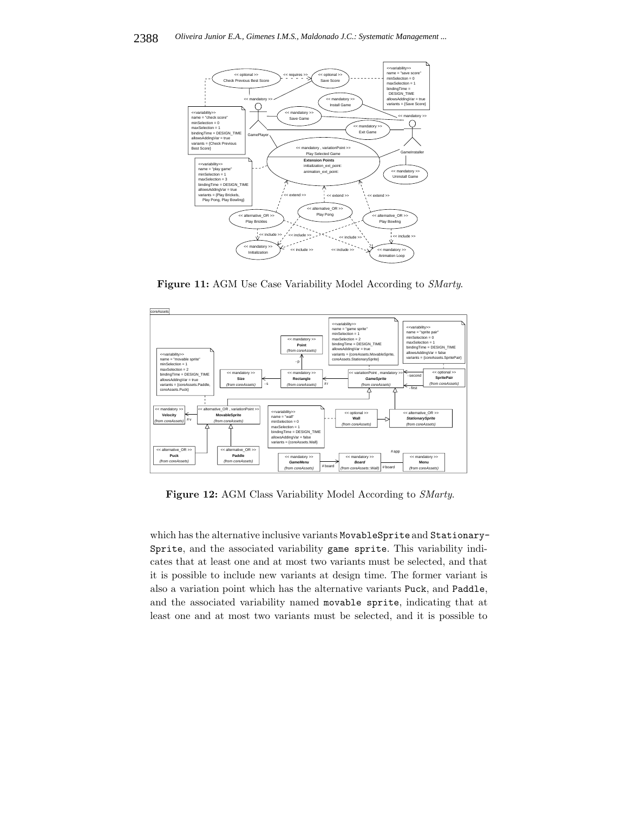

**Figure 11:** AGM Use Case Variability Model According to *SMarty*.



**Figure 12:** AGM Class Variability Model According to *SMarty*.

which has the alternative inclusive variants MovableSprite and Stationary-Sprite, and the associated variability game sprite. This variability indicates that at least one and at most two variants must be selected, and that it is possible to include new variants at design time. The former variant is also a variation point which has the alternative variants Puck, and Paddle, and the associated variability named movable sprite, indicating that at least one and at most two variants must be selected, and it is possible to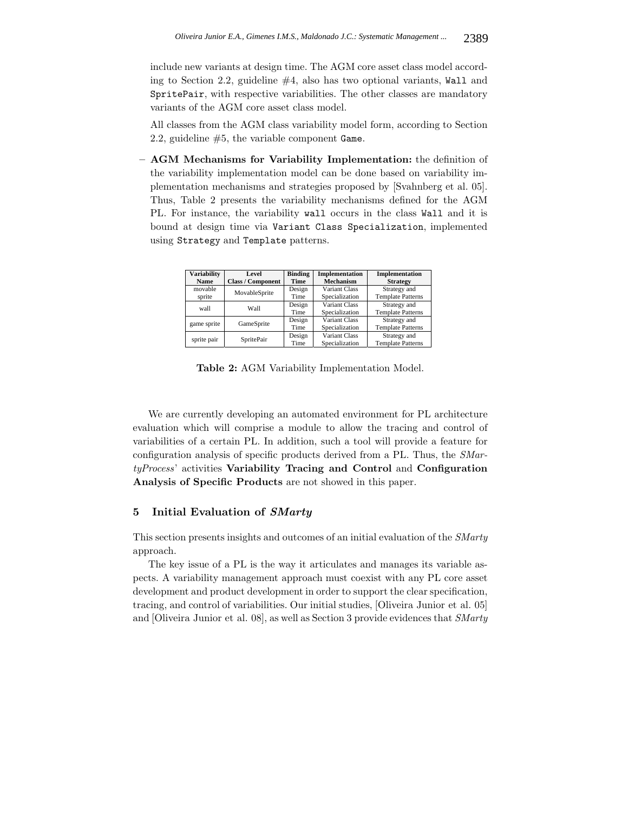include new variants at design time. The AGM core asset class model according to Section 2.2, guideline  $#4$ , also has two optional variants, Wall and SpritePair, with respective variabilities. The other classes are mandatory variants of the AGM core asset class model.

All classes from the AGM class variability model form, according to Section 2.2, guideline  $#5$ , the variable component Game.

**– AGM Mechanisms for Variability Implementation:** the definition of the variability implementation model can be done based on variability implementation mechanisms and strategies proposed by [Svahnberg et al. 05]. Thus, Table 2 presents the variability mechanisms defined for the AGM PL. For instance, the variability wall occurs in the class Wall and it is bound at design time via Variant Class Specialization, implemented using Strategy and Template patterns.

| <b>Variability</b> | Level                    | <b>Binding</b> | Implementation       | Implementation           |  |
|--------------------|--------------------------|----------------|----------------------|--------------------------|--|
|                    |                          |                |                      |                          |  |
| Name               | <b>Class / Component</b> | Time           | <b>Mechanism</b>     | <b>Strategy</b>          |  |
| movable            | MovableSprite            | Design         | <b>Variant Class</b> | Strategy and             |  |
| sprite             |                          | Time           | Specialization       | <b>Template Patterns</b> |  |
| wall               | Wall                     | Design         | Variant Class        | Strategy and             |  |
|                    |                          | Time           | Specialization       | <b>Template Patterns</b> |  |
| game sprite        | GameSprite               | Design         | Variant Class        | Strategy and             |  |
|                    |                          | Time           | Specialization       | <b>Template Patterns</b> |  |
|                    | SpritePair               | Design         | Variant Class        | Strategy and             |  |
| sprite pair        |                          | Time           | Specialization       | <b>Template Patterns</b> |  |

**Table 2:** AGM Variability Implementation Model.

We are currently developing an automated environment for PL architecture evaluation which will comprise a module to allow the tracing and control of variabilities of a certain PL. In addition, such a tool will provide a feature for configuration analysis of specific products derived from a PL. Thus, the *SMartyProcess*' activities **Variability Tracing and Control** and **Configuration Analysis of Specific Products** are not showed in this paper.

#### **5 Initial Evaluation of** *SMarty*

This section presents insights and outcomes of an initial evaluation of the *SMarty* approach.

The key issue of a PL is the way it articulates and manages its variable aspects. A variability management approach must coexist with any PL core asset development and product development in order to support the clear specification, tracing, and control of variabilities. Our initial studies, [Oliveira Junior et al. 05] and [Oliveira Junior et al. 08], as well as Section 3 provide evidences that *SMarty*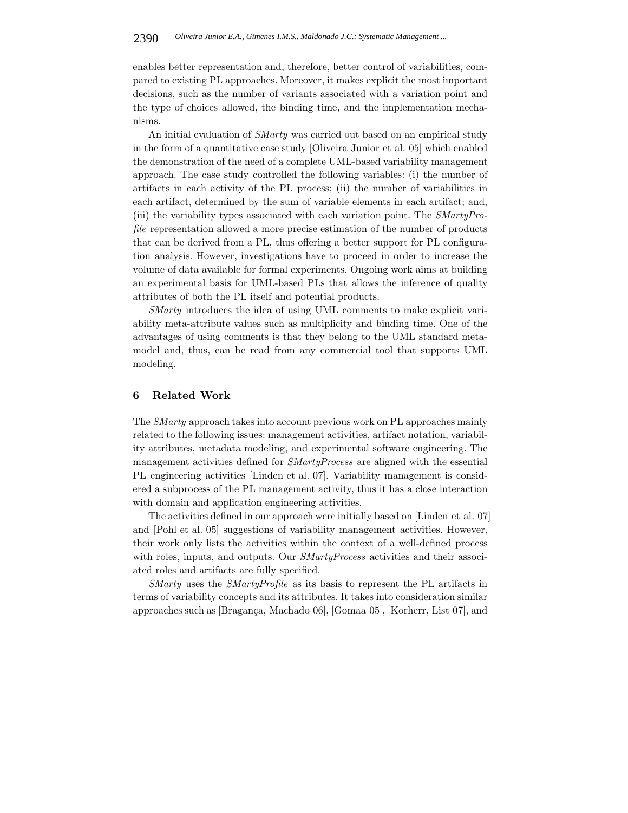enables better representation and, therefore, better control of variabilities, compared to existing PL approaches. Moreover, it makes explicit the most important decisions, such as the number of variants associated with a variation point and the type of choices allowed, the binding time, and the implementation mechanisms.

An initial evaluation of *SMarty* was carried out based on an empirical study in the form of a quantitative case study [Oliveira Junior et al. 05] which enabled the demonstration of the need of a complete UML-based variability management approach. The case study controlled the following variables: (i) the number of artifacts in each activity of the PL process; (ii) the number of variabilities in each artifact, determined by the sum of variable elements in each artifact; and, (iii) the variability types associated with each variation point. The *SMartyProfile* representation allowed a more precise estimation of the number of products that can be derived from a PL, thus offering a better support for PL configuration analysis. However, investigations have to proceed in order to increase the volume of data available for formal experiments. Ongoing work aims at building an experimental basis for UML-based PLs that allows the inference of quality attributes of both the PL itself and potential products.

*SMarty* introduces the idea of using UML comments to make explicit variability meta-attribute values such as multiplicity and binding time. One of the advantages of using comments is that they belong to the UML standard metamodel and, thus, can be read from any commercial tool that supports UML modeling.

#### **6 Related Work**

The *SMarty* approach takes into account previous work on PL approaches mainly related to the following issues: management activities, artifact notation, variability attributes, metadata modeling, and experimental software engineering. The management activities defined for *SMartyProcess* are aligned with the essential PL engineering activities [Linden et al. 07]. Variability management is considered a subprocess of the PL management activity, thus it has a close interaction with domain and application engineering activities.

The activities defined in our approach were initially based on [Linden et al. 07] and [Pohl et al. 05] suggestions of variability management activities. However, their work only lists the activities within the context of a well-defined process with roles, inputs, and outputs. Our *SMartyProcess* activities and their associated roles and artifacts are fully specified.

*SMarty* uses the *SMartyProfile* as its basis to represent the PL artifacts in terms of variability concepts and its attributes. It takes into consideration similar approaches such as  $[Bragança, Machado 06]$ ,  $[Gomaa 05]$ ,  $[Korherr, List 07]$ , and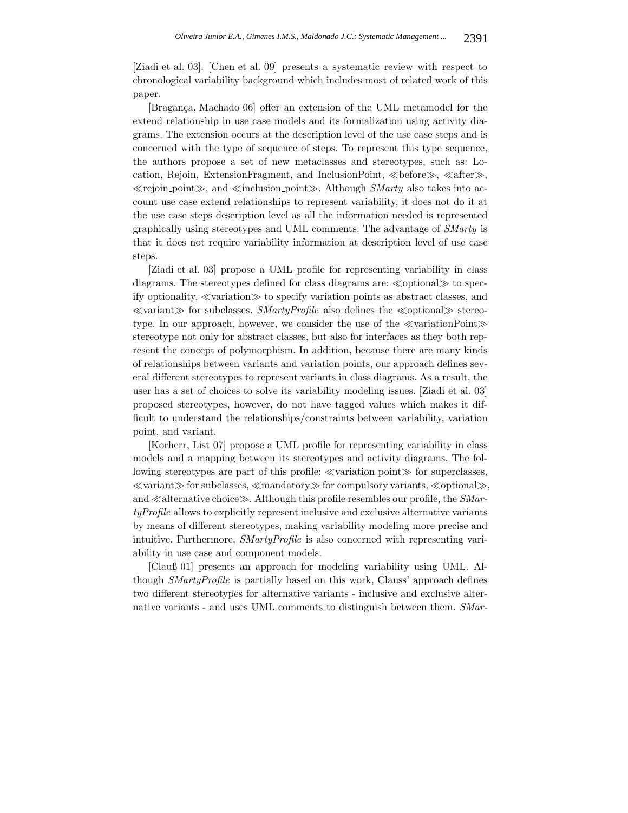[Ziadi et al. 03]. [Chen et al. 09] presents a systematic review with respect to chronological variability background which includes most of related work of this paper.

[Bragança, Machado 06] offer an extension of the UML metamodel for the extend relationship in use case models and its formalization using activity diagrams. The extension occurs at the description level of the use case steps and is concerned with the type of sequence of steps. To represent this type sequence, the authors propose a set of new metaclasses and stereotypes, such as: Location, Rejoin, ExtensionFragment, and InclusionPoint,  $\ll$ before $\gg$ ,  $\ll$ after $\gg$ ,  $\ll$ rejoin point $\gg$ , and  $\ll$ inclusion point $\gg$ . Although *SMarty* also takes into account use case extend relationships to represent variability, it does not do it at the use case steps description level as all the information needed is represented graphically using stereotypes and UML comments. The advantage of *SMarty* is that it does not require variability information at description level of use case steps.

[Ziadi et al. 03] propose a UML profile for representing variability in class diagrams. The stereotypes defined for class diagrams are:  $\ll$  optional $\gg$  to specify optionality,  $\ll$ variation $\gg$  to specify variation points as abstract classes, and  $\ll$ variant $\gg$  for subclasses. *SMartyProfile* also defines the  $\ll$ optional $\gg$  stereotype. In our approach, however, we consider the use of the  $\ll$ variationPoint $\gg$ stereotype not only for abstract classes, but also for interfaces as they both represent the concept of polymorphism. In addition, because there are many kinds of relationships between variants and variation points, our approach defines several different stereotypes to represent variants in class diagrams. As a result, the user has a set of choices to solve its variability modeling issues. [Ziadi et al. 03] proposed stereotypes, however, do not have tagged values which makes it difficult to understand the relationships/constraints between variability, variation point, and variant.

[Korherr, List 07] propose a UML profile for representing variability in class models and a mapping between its stereotypes and activity diagrams. The following stereotypes are part of this profile:  $\ll$ variation point $\gg$  for superclasses,  $\ll$ variant $\gg$  for subclasses,  $\ll$ mandatory $\gg$  for compulsory variants,  $\ll$ optional $\gg$ , and  $\ll$  alternative choice $\gg$ . Although this profile resembles our profile, the *SMartyProfile* allows to explicitly represent inclusive and exclusive alternative variants by means of different stereotypes, making variability modeling more precise and intuitive. Furthermore, *SMartyProfile* is also concerned with representing variability in use case and component models.

[Clauß 01] presents an approach for modeling variability using UML. Although *SMartyProfile* is partially based on this work, Clauss' approach defines two different stereotypes for alternative variants - inclusive and exclusive alternative variants - and uses UML comments to distinguish between them. *SMar-*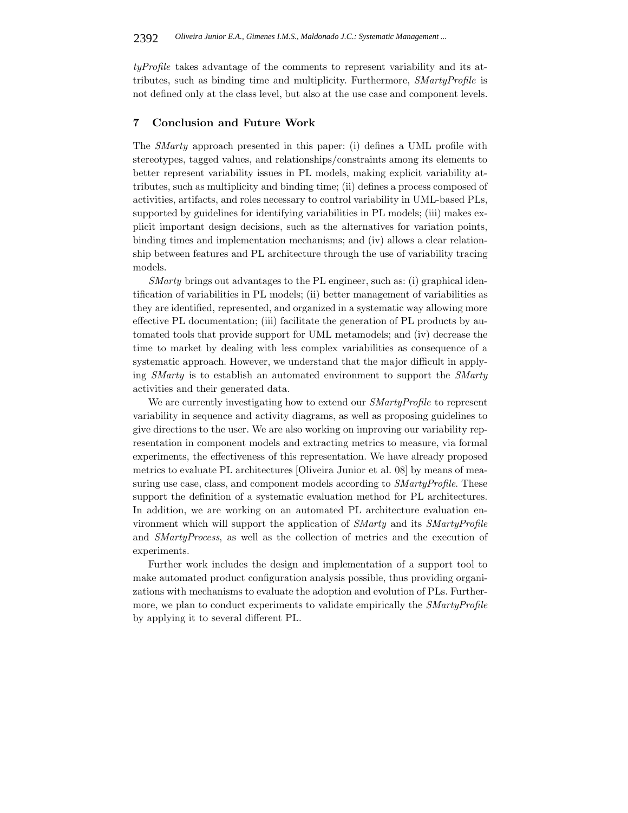*tyProfile* takes advantage of the comments to represent variability and its attributes, such as binding time and multiplicity. Furthermore, *SMartyProfile* is not defined only at the class level, but also at the use case and component levels.

#### **7 Conclusion and Future Work**

The *SMarty* approach presented in this paper: (i) defines a UML profile with stereotypes, tagged values, and relationships/constraints among its elements to better represent variability issues in PL models, making explicit variability attributes, such as multiplicity and binding time; (ii) defines a process composed of activities, artifacts, and roles necessary to control variability in UML-based PLs, supported by guidelines for identifying variabilities in PL models; (iii) makes explicit important design decisions, such as the alternatives for variation points, binding times and implementation mechanisms; and (iv) allows a clear relationship between features and PL architecture through the use of variability tracing models.

*SMarty* brings out advantages to the PL engineer, such as: (i) graphical identification of variabilities in PL models; (ii) better management of variabilities as they are identified, represented, and organized in a systematic way allowing more effective PL documentation; (iii) facilitate the generation of PL products by automated tools that provide support for UML metamodels; and (iv) decrease the time to market by dealing with less complex variabilities as consequence of a systematic approach. However, we understand that the major difficult in applying *SMarty* is to establish an automated environment to support the *SMarty* activities and their generated data.

We are currently investigating how to extend our *SMartyProfile* to represent variability in sequence and activity diagrams, as well as proposing guidelines to give directions to the user. We are also working on improving our variability representation in component models and extracting metrics to measure, via formal experiments, the effectiveness of this representation. We have already proposed metrics to evaluate PL architectures [Oliveira Junior et al. 08] by means of measuring use case, class, and component models according to *SMartyProfile*. These support the definition of a systematic evaluation method for PL architectures. In addition, we are working on an automated PL architecture evaluation environment which will support the application of *SMarty* and its *SMartyProfile* and *SMartyProcess*, as well as the collection of metrics and the execution of experiments.

Further work includes the design and implementation of a support tool to make automated product configuration analysis possible, thus providing organizations with mechanisms to evaluate the adoption and evolution of PLs. Furthermore, we plan to conduct experiments to validate empirically the *SMartyProfile* by applying it to several different PL.